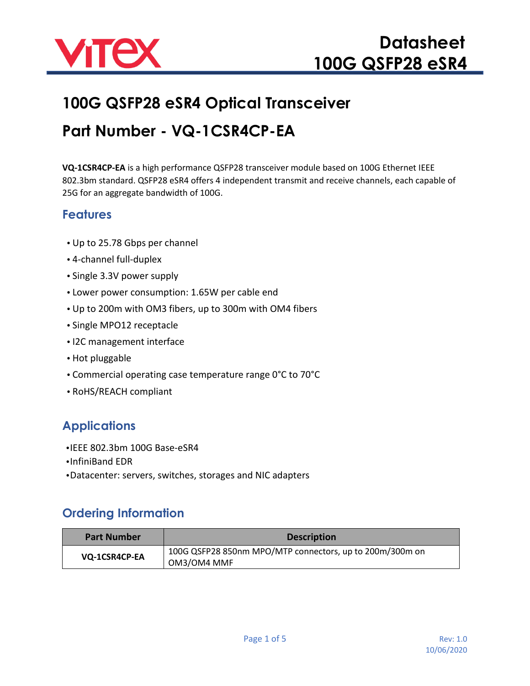

# **100G QSFP28 eSR4 Optical Transceiver Part Number - VQ-1CSR4CP-EA**

**VQ-1CSR4CP-EA** is a high performance QSFP28 transceiver module based on 100G Ethernet IEEE 802.3bm standard. QSFP28 eSR4 offers 4 independent transmit and receive channels, each capable of 25G for an aggregate bandwidth of 100G.

#### **Features**

- **•** Up to 25.78 Gbps per channel
- **•** 4-channel full-duplex
- **•** Single 3.3V power supply
- **•** Lower power consumption: 1.65W per cable end
- **•** Up to 200m with OM3 fibers, up to 300m with OM4 fibers
- **•** Single MPO12 receptacle
- **•** I2C management interface
- **•** Hot pluggable
- **•** Commercial operating case temperature range 0°C to 70°C
- **•** RoHS/REACH compliant

## **Applications**

- **•**IEEE 802.3bm 100G Base-eSR4
- **•**InfiniBand EDR
- **•**Datacenter: servers, switches, storages and NIC adapters

#### **Ordering Information**

| <b>Part Number</b> | <b>Description</b>                                                      |
|--------------------|-------------------------------------------------------------------------|
| VQ-1CSR4CP-EA      | 100G QSFP28 850nm MPO/MTP connectors, up to 200m/300m on<br>OM3/OM4 MMF |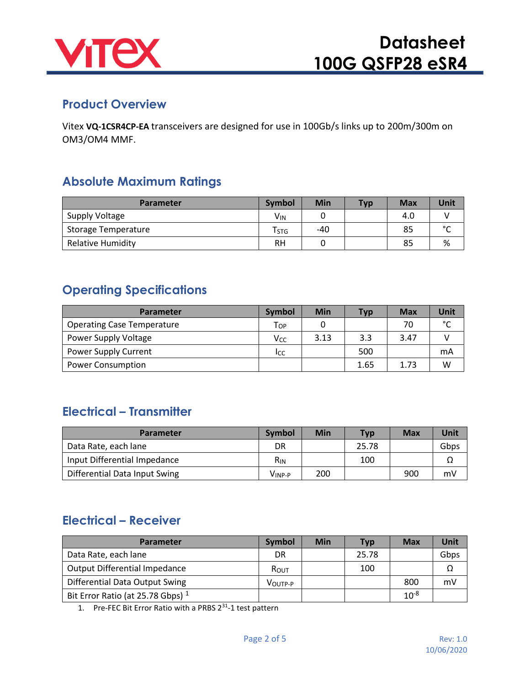

#### **Product Overview**

Vitex **VQ-1CSR4CP-EA** transceivers are designed for use in 100Gb/s links up to 200m/300m on OM3/OM4 MMF.

#### **Absolute Maximum Ratings**

| Parameter                  | <b>Symbol</b>         | Min | <b>Typ</b> | <b>Max</b> | Unit   |
|----------------------------|-----------------------|-----|------------|------------|--------|
| Supply Voltage             | <b>V<sub>IN</sub></b> |     |            | 4.0        |        |
| <b>Storage Temperature</b> | T <sub>STG</sub>      | -40 |            | 85         | $\sim$ |
| <b>Relative Humidity</b>   | RH                    |     |            | 85         | %      |

#### **Operating Specifications**

| Parameter                         | <b>Symbol</b>   | Min  | <b>Typ</b> | <b>Max</b> | Unit          |
|-----------------------------------|-----------------|------|------------|------------|---------------|
| <b>Operating Case Temperature</b> | Top             |      |            | 70         | $\mathcal{C}$ |
| Power Supply Voltage              | V <sub>CC</sub> | 3.13 | 3.3        | 3.47       |               |
| <b>Power Supply Current</b>       | Icc             |      | 500        |            | mA            |
| <b>Power Consumption</b>          |                 |      | 1.65       | 1.73       | W             |

### **Electrical – Transmitter**

| Parameter                     | <b>Symbol</b>   | Min | <b>Typ</b> | <b>Max</b> | <b>Unit</b> |
|-------------------------------|-----------------|-----|------------|------------|-------------|
| Data Rate, each lane          | DR              |     | 25.78      |            | Gbps        |
| Input Differential Impedance  | R <sub>IN</sub> |     | 100        |            |             |
| Differential Data Input Swing | Vinp-p          | 200 |            | 900        | mV          |

### **Electrical – Receiver**

| <b>Parameter</b>                     | <b>Symbol</b> | Min | <b>Typ</b> | Max       | Unit |
|--------------------------------------|---------------|-----|------------|-----------|------|
| Data Rate, each lane                 | DR            |     | 25.78      |           | Gbps |
| <b>Output Differential Impedance</b> | ROUT          |     | 100        |           |      |
| Differential Data Output Swing       | VOUTP-P       |     |            | 800       | mV   |
| Bit Error Ratio (at 25.78 Gbps) $1$  |               |     |            | $10^{-8}$ |      |

1. Pre-FEC Bit Error Ratio with a PRBS 2<sup>31</sup>-1 test pattern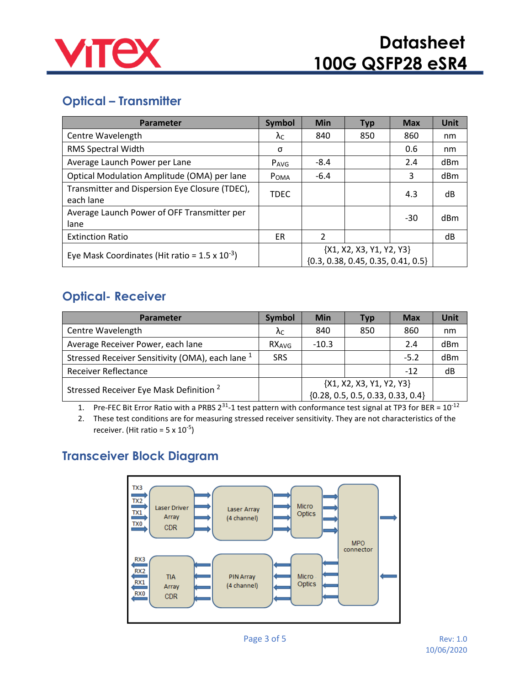

## **Optical – Transmitter**

| <b>Parameter</b>                                                                                                               | <b>Symbol</b>    | <b>Min</b>     | <b>Typ</b> | <b>Max</b> | <b>Unit</b>     |
|--------------------------------------------------------------------------------------------------------------------------------|------------------|----------------|------------|------------|-----------------|
| Centre Wavelength                                                                                                              | $\lambda$ C      | 840            | 850        | 860        | nm              |
| RMS Spectral Width                                                                                                             | σ                |                |            | 0.6        | nm              |
| Average Launch Power per Lane                                                                                                  | P <sub>AVG</sub> | $-8.4$         |            | 2.4        | dBm             |
| Optical Modulation Amplitude (OMA) per lane                                                                                    | POMA             | $-6.4$         |            | 3          | d <sub>Bm</sub> |
| Transmitter and Dispersion Eye Closure (TDEC),<br>each lane                                                                    | <b>TDEC</b>      |                |            | 4.3        | dB              |
| Average Launch Power of OFF Transmitter per<br>lane                                                                            |                  |                |            | $-30$      | dBm             |
| <b>Extinction Ratio</b>                                                                                                        | ER               | $\mathfrak{p}$ |            |            | dB              |
| ${X1, X2, X3, Y1, Y2, Y3}$<br>Eye Mask Coordinates (Hit ratio = $1.5 \times 10^{-3}$ )<br>${0.3, 0.38, 0.45, 0.35, 0.41, 0.5}$ |                  |                |            |            |                 |

#### **Optical- Receiver**

| <b>Parameter</b>                                            | <b>Symbol</b>     | Min                                   | <b>Typ</b> | <b>Max</b> | <b>Unit</b>     |
|-------------------------------------------------------------|-------------------|---------------------------------------|------------|------------|-----------------|
| Centre Wavelength                                           | λc                | 840                                   | 850        | 860        | nm              |
| Average Receiver Power, each lane                           | RX <sub>AVG</sub> | $-10.3$                               |            | 2.4        | d <sub>Bm</sub> |
| Stressed Receiver Sensitivity (OMA), each lane <sup>1</sup> | <b>SRS</b>        |                                       |            | $-5.2$     | dBm             |
| <b>Receiver Reflectance</b>                                 |                   |                                       |            | $-12$      | dB              |
| Stressed Receiver Eye Mask Definition <sup>2</sup>          |                   | {X1, X2, X3, Y1, Y2, Y3}              |            |            |                 |
|                                                             |                   | $\{0.28, 0.5, 0.5, 0.33, 0.33, 0.4\}$ |            |            |                 |

1. Pre-FEC Bit Error Ratio with a PRBS 2<sup>31</sup>-1 test pattern with conformance test signal at TP3 for BER =  $10^{-12}$ 

2. These test conditions are for measuring stressed receiver sensitivity. They are not characteristics of the receiver. (Hit ratio =  $5 \times 10^{-5}$ )

## **Transceiver Block Diagram**

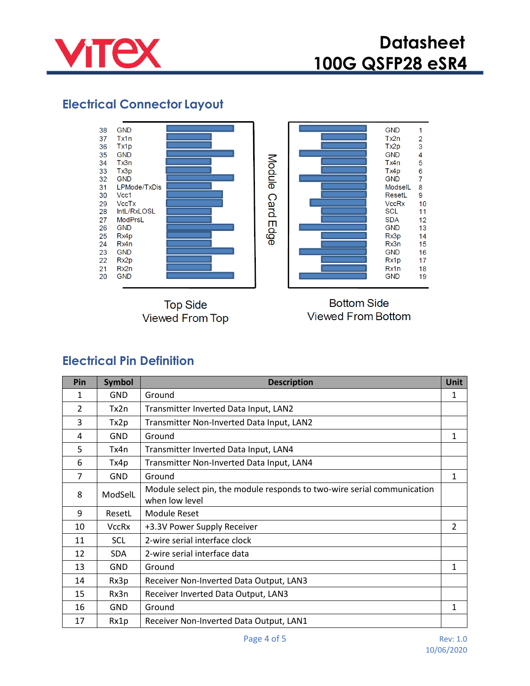

### **Electrical Connector Layout**



**Top Side Viewed From Top** 



**Bottom Side Viewed From Bottom** 

#### **Electrical Pin Definition**

| Pin | <b>Symbol</b> | <b>Description</b>                                                                        | <b>Unit</b> |
|-----|---------------|-------------------------------------------------------------------------------------------|-------------|
| 1   | <b>GND</b>    | Ground                                                                                    | 1           |
| 2   | Tx2n          | Transmitter Inverted Data Input, LAN2                                                     |             |
| 3   | Tx2p          | Transmitter Non-Inverted Data Input, LAN2                                                 |             |
| 4   | <b>GND</b>    | Ground                                                                                    | 1           |
| 5   | Tx4n          | Transmitter Inverted Data Input, LAN4                                                     |             |
| 6   | Tx4p          | Transmitter Non-Inverted Data Input, LAN4                                                 |             |
| 7   | <b>GND</b>    | Ground                                                                                    | 1           |
| 8   | ModSelL       | Module select pin, the module responds to two-wire serial communication<br>when low level |             |
| 9   | ResetL        | <b>Module Reset</b>                                                                       |             |
| 10  | <b>VccRx</b>  | +3.3V Power Supply Receiver                                                               | 2           |
| 11  | <b>SCL</b>    | 2-wire serial interface clock                                                             |             |
| 12  | <b>SDA</b>    | 2-wire serial interface data                                                              |             |
| 13  | <b>GND</b>    | Ground                                                                                    | 1           |
| 14  | Rx3p          | Receiver Non-Inverted Data Output, LAN3                                                   |             |
| 15  | Rx3n          | Receiver Inverted Data Output, LAN3                                                       |             |
| 16  | <b>GND</b>    | Ground                                                                                    | 1           |
| 17  | Rx1p          | Receiver Non-Inverted Data Output, LAN1                                                   |             |